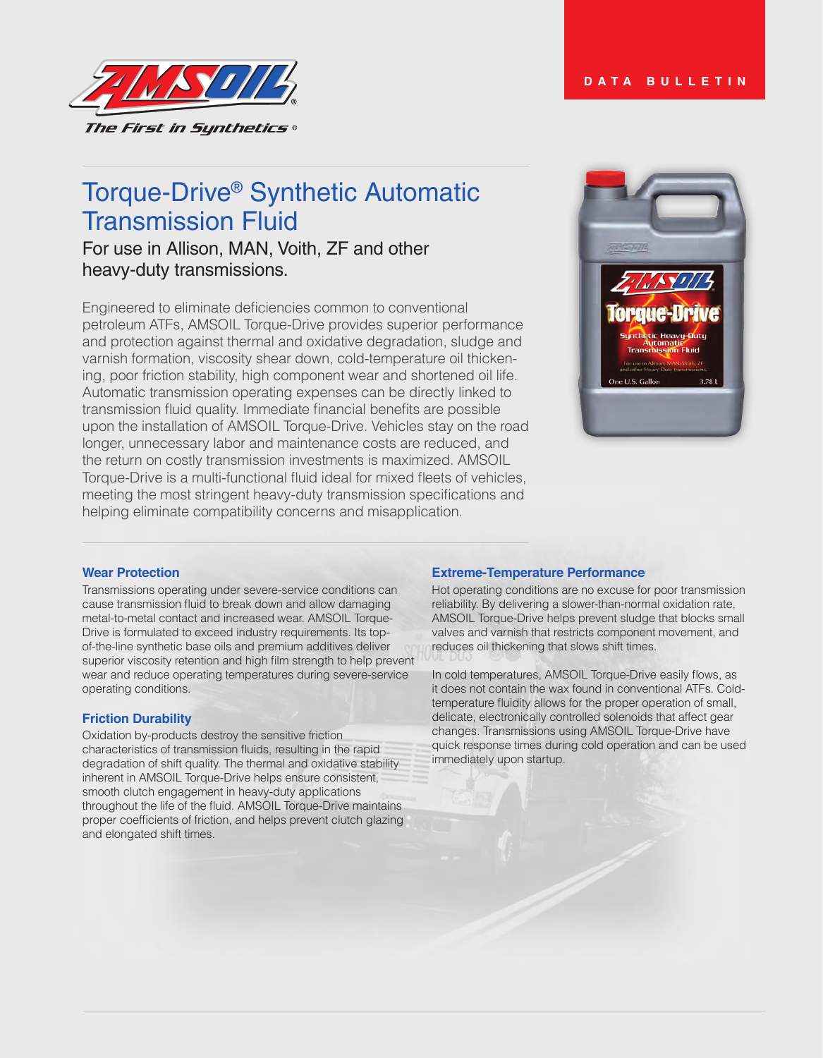

# Torque-Drive® Synthetic Automatic Transmission Fluid

For use in Allison, MAN, Voith, ZF and other heavy-duty transmissions.

Engineered to eliminate deficiencies common to conventional petroleum ATFs, AMSOIL Torque-Drive provides superior performance and protection against thermal and oxidative degradation, sludge and varnish formation, viscosity shear down, cold-temperature oil thickening, poor friction stability, high component wear and shortened oil life. Automatic transmission operating expenses can be directly linked to transmission fluid quality. Immediate financial benefits are possible upon the installation of AMSOIL Torque-Drive. Vehicles stay on the road longer, unnecessary labor and maintenance costs are reduced, and the return on costly transmission investments is maximized. AMSOIL Torque-Drive is a multi-functional fluid ideal for mixed fleets of vehicles, meeting the most stringent heavy-duty transmission specifications and helping eliminate compatibility concerns and misapplication.



# **Wear Protection**

Transmissions operating under severe-service conditions can cause transmission fluid to break down and allow damaging metal-to-metal contact and increased wear. AMSOIL Torque-Drive is formulated to exceed industry requirements. Its topof-the-line synthetic base oils and premium additives deliver superior viscosity retention and high film strength to help prevent wear and reduce operating temperatures during severe-service operating conditions.

# **Friction Durability**

Oxidation by-products destroy the sensitive friction characteristics of transmission fluids, resulting in the rapid degradation of shift quality. The thermal and oxidative stability inherent in AMSOIL Torque-Drive helps ensure consistent, smooth clutch engagement in heavy-duty applications throughout the life of the fluid. AMSOIL Torque-Drive maintains proper coefficients of friction, and helps prevent clutch glazing and elongated shift times.

# **Extreme-Temperature Performance**

Hot operating conditions are no excuse for poor transmission reliability. By delivering a slower-than-normal oxidation rate, AMSOIL Torque-Drive helps prevent sludge that blocks small valves and varnish that restricts component movement, and reduces oil thickening that slows shift times.

In cold temperatures, AMSOIL Torque-Drive easily flows, as it does not contain the wax found in conventional ATFs. Coldtemperature fluidity allows for the proper operation of small, delicate, electronically controlled solenoids that affect gear changes. Transmissions using AMSOIL Torque-Drive have quick response times during cold operation and can be used immediately upon startup.